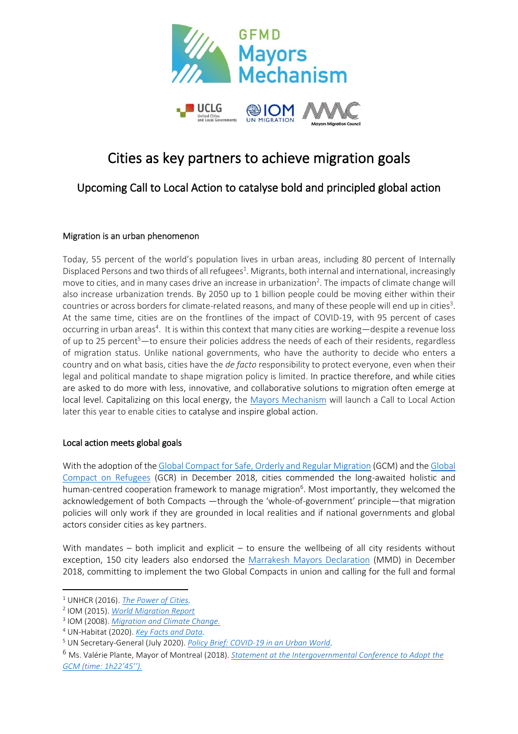

# Cities as key partners to achieve migration goals

## Upcoming Call to Local Action to catalyse bold and principled global action

### Migration is an urban phenomenon

Today, 55 percent of the world's population lives in urban areas, including 80 percent of Internally Displaced Persons and two thirds of all refugees<sup>1</sup>. Migrants, both internal and international, increasingly move to cities, and in many cases drive an increase in urbanization<sup>2</sup>. The impacts of climate change will also increase urbanization trends. By 2050 up to 1 billion people could be moving either within their countries or across borders for climate-related reasons, and many of these people will end up in cities<sup>3</sup>. At the same time, cities are on the frontlines of the impact of COVID-19, with 95 percent of cases occurring in urban areas<sup>4</sup>. It is within this context that many cities are working—despite a revenue loss of up to 25 percent<sup>5</sup>—to ensure their policies address the needs of each of their residents, regardless of migration status. Unlike national governments, who have the authority to decide who enters a country and on what basis, cities have the *de facto* responsibility to protect everyone, even when their legal and political mandate to shape migration policy is limited. In practice therefore, and while cities are asked to do more with less, innovative, and collaborative solutions to migration often emerge at local level. Capitalizing on this local energy, the [Mayors Mechanism](http://www.mayorsmechanism.org/) will launch a Call to Local Action later this year to enable cities to catalyse and inspire global action.

#### Local action meets global goals

With the adoption of th[e Global Compact for Safe, Orderly and Regular Migration](https://refugeesmigrants.un.org/sites/default/files/180713_agreed_outcome_global_compact_for_migration.pdf) (GCM) and th[e Global](https://www.unhcr.org/gcr/GCR_English.pdf)  [Compact on Refugees](https://www.unhcr.org/gcr/GCR_English.pdf) (GCR) in December 2018, cities commended the long-awaited holistic and human-centred cooperation framework to manage migration<sup>6</sup>. Most importantly, they welcomed the acknowledgement of both Compacts —through the 'whole-of-government' principle—that migration policies will only work if they are grounded in local realities and if national governments and global actors consider cities as key partners.

With mandates – both implicit and explicit – to ensure the wellbeing of all city residents without exception, 150 city leaders also endorsed the [Marrakesh Mayors Declaration](https://static1.squarespace.com/static/5ed73065798a4a61dd968312/t/5f6a44157d2065608095026b/1600799766706/en_mf_declaration_0.pdf) (MMD) in December 2018, committing to implement the two Global Compacts in union and calling for the full and formal

<sup>1</sup> UNHCR (2016). *[The Power of Cities.](https://www.unhcr.org/innovation/the-power-of-cities/)*

<sup>2</sup> IOM (2015). *[World Migration Report](https://publications.iom.int/system/files/wmr2015_en.pdf)*

<sup>3</sup> IOM (2008). *[Migration and Climate Change.](https://publications.iom.int/system/files/pdf/mrs-31_en.pdf)*

<sup>4</sup> UN-Habitat (2020). *[Key Facts and Data.](https://unhabitat.org/covid-19/key-facts-and-data)*

<sup>5</sup> UN Secretary-General (July 2020). *[Policy Brief: COVID-19 in an Urban World.](https://unhabitat.org/sites/default/files/2020/07/sg_policy_brief_covid_urban_world_july_2020_final.pdf)*

<sup>6</sup> Ms. Valérie Plante, Mayor of Montreal (2018). *[Statement at the Intergovernmental Conference to Adopt the](http://webtv.un.org/search/promoting-action-on-the-commitments-of-the-global-compact-for-safe-orderly-and-regular-migration-am-session-dialogue-1-migration-conference-marrakech-morocco-10-11-december-2018/5977650033001/?term=2018-12-10&lan=english&cat=Migration2018&sort=date#.XA-31cvXrpI.twitter)  [GCM \(time: 1h22'45''\).](http://webtv.un.org/search/promoting-action-on-the-commitments-of-the-global-compact-for-safe-orderly-and-regular-migration-am-session-dialogue-1-migration-conference-marrakech-morocco-10-11-december-2018/5977650033001/?term=2018-12-10&lan=english&cat=Migration2018&sort=date#.XA-31cvXrpI.twitter)*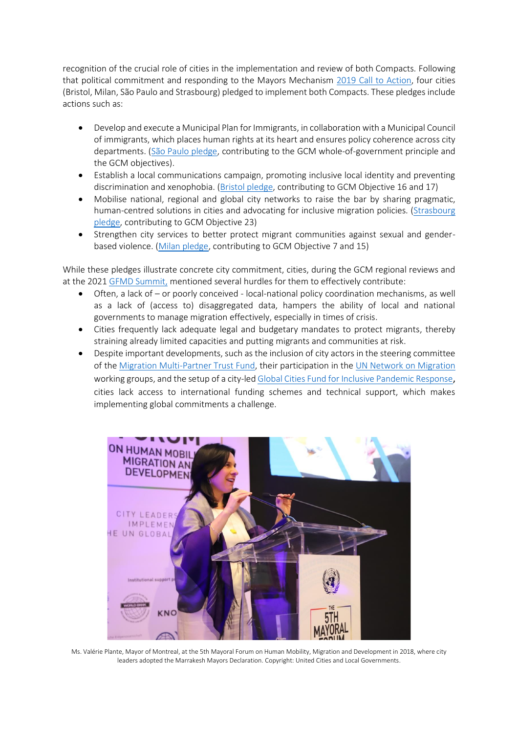recognition of the crucial role of cities in the implementation and review of both Compacts. Following that political commitment and responding to the Mayors Mechanism [2019 Call to Action,](https://www.gfmd.org/files/documents/mm_call_to_action_on_local_migration_flyer_final_v1.pdf) four cities (Bristol, Milan, São Paulo and Strasbourg) pledged to implement both Compacts. These pledges include actions such as:

- Develop and execute a Municipal Plan for Immigrants, in collaboration with a Municipal Council of immigrants, which places human rights at its heart and ensures policy coherence across city departments. [\(São Paulo pledge,](https://migrationnetwork.un.org/sites/default/files/docs/city_of_sao_paulo.pdf) contributing to the GCM whole-of-government principle and the GCM objectives).
- Establish a local communications campaign, promoting inclusive local identity and preventing discrimination and xenophobia. [\(Bristol pledge,](https://migrationnetwork.un.org/sites/default/files/docs/city_of_bristol_submission_to_the_ece_regional_review.pdf) contributing to GCM Objective 16 and 17)
- Mobilise national, regional and global city networks to raise the bar by sharing pragmatic, human-centred solutions in cities and advocating for inclusive migration policies. [\(Strasbourg](https://migrationnetwork.un.org/sites/default/files/docs/city_of_strasbourg_submission_to_the_ece_regional_review_french.pdf)  [pledge,](https://migrationnetwork.un.org/sites/default/files/docs/city_of_strasbourg_submission_to_the_ece_regional_review_french.pdf) contributing to GCM Objective 23)
- Strengthen city services to better protect migrant communities against sexual and genderbased violence. [\(Milan pledge,](https://migrationnetwork.un.org/sites/default/files/docs/city_of_milan_submission_to_the_ece_regional_review.pdf) contributing to GCM Objective 7 and 15)

While these pledges illustrate concrete city commitment, cities, during the GCM regional reviews and at the 2021 [GFMD Summit,](https://static1.squarespace.com/static/5ed73065798a4a61dd968312/t/6013d53e9482ce181f391373/1611912511398/Press+release_MM+GFMD_29jan.pdf) mentioned several hurdles for them to effectively contribute:

- Often, a lack of or poorly conceived local-national policy coordination mechanisms, as well as a lack of (access to) disaggregated data, hampers the ability of local and national governments to manage migration effectively, especially in times of crisis.
- Cities frequently lack adequate legal and budgetary mandates to protect migrants, thereby straining already limited capacities and putting migrants and communities at risk.
- Despite important developments, such as the inclusion of city actors in the steering committee of the [Migration Multi-Partner Trust Fund,](http://mptf.undp.org/factsheet/fund/MIG00) their participation in the [UN Network on Migration](https://migrationnetwork.un.org/) working groups, and the setup of a city-le[d Global Cities Fund for Inclusive Pandemic Response](https://www.mayorsmigrationcouncil.org/gcf#:~:text=The%20Global%20Cities%20Fund%20for,IDPs)%20during%20Covid%2D19.), cities lack access to international funding schemes and technical support, which makes implementing global commitments a challenge.



Ms. Valérie Plante, Mayor of Montreal, at the 5th Mayoral Forum on Human Mobility, Migration and Development in 2018, where city leaders adopted the Marrakesh Mayors Declaration. Copyright: United Cities and Local Governments.